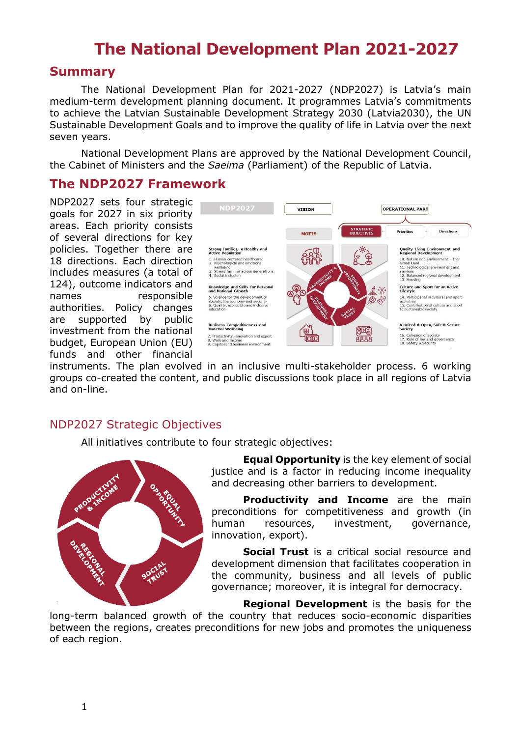# **The National Development Plan 2021-2027**

## **Summary**

The National Development Plan for 2021-2027 (NDP2027) is Latvia's main medium-term development planning document. It programmes Latvia's commitments to achieve the Latvian Sustainable Development Strategy 2030 (Latvia2030), the UN Sustainable Development Goals and to improve the quality of life in Latvia over the next seven years.

National Development Plans are approved by the National Development Council, the Cabinet of Ministers and the *Saeima* (Parliament) of the Republic of Latvia.

# **The NDP2027 Framework**

NDP2027 sets four strategic goals for 2027 in six priority areas. Each priority consists of several directions for key policies. Together there are 18 directions. Each direction includes measures (a total of 124), outcome indicators and names responsible authorities. Policy changes are supported by public investment from the national budget, European Union (EU) funds and other financial



instruments. The plan evolved in an inclusive multi-stakeholder process. 6 working groups co-created the content, and public discussions took place in all regions of Latvia and on-line.

## NDP2027 Strategic Objectives

All initiatives contribute to four strategic objectives:



**Equal Opportunity** is the key element of social justice and is a factor in reducing income inequality and decreasing other barriers to development.

**Productivity and Income** are the main preconditions for competitiveness and growth (in human resources, investment, governance, innovation, export).

**Social Trust** is a critical social resource and development dimension that facilitates cooperation in the community, business and all levels of public governance; moreover, it is integral for democracy.

**Regional Development** is the basis for the long-term balanced growth of the country that reduces socio-economic disparities between the regions, creates preconditions for new jobs and promotes the uniqueness of each region.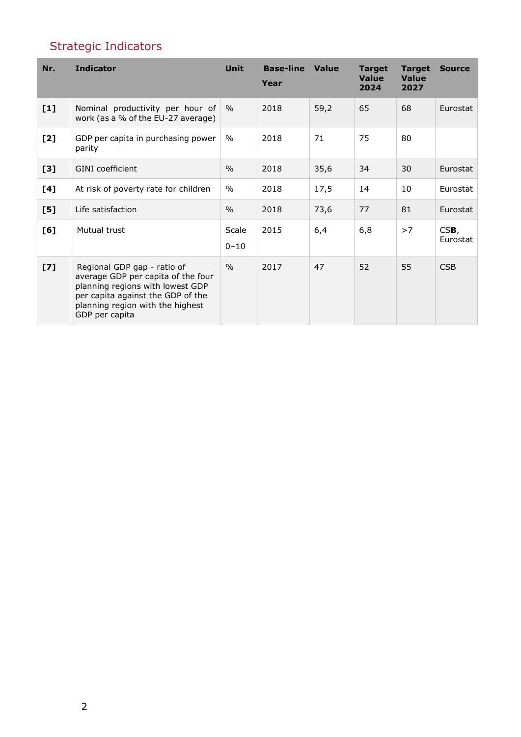# Strategic Indicators

| Nr.   | <b>Indicator</b>                                                                                                                                                                                 | Unit              | <b>Base-line Value</b><br>Year |      | <b>Target</b><br><b>Value</b><br>2024 | <b>Target</b><br>Value<br>2027 | <b>Source</b>    |
|-------|--------------------------------------------------------------------------------------------------------------------------------------------------------------------------------------------------|-------------------|--------------------------------|------|---------------------------------------|--------------------------------|------------------|
| $[1]$ | Nominal productivity per hour of<br>work (as a % of the EU-27 average)                                                                                                                           | $\%$              | 2018                           | 59,2 | 65                                    | 68                             | Eurostat         |
| [2]   | GDP per capita in purchasing power<br>parity                                                                                                                                                     | $\%$              | 2018                           | 71   | 75                                    | 80                             |                  |
| [3]   | <b>GINI</b> coefficient                                                                                                                                                                          | $\frac{0}{0}$     | 2018                           | 35,6 | 34                                    | 30                             | Eurostat         |
| [4]   | At risk of poverty rate for children                                                                                                                                                             | $\%$              | 2018                           | 17,5 | 14                                    | 10                             | Eurostat         |
| [5]   | Life satisfaction                                                                                                                                                                                | $\%$              | 2018                           | 73,6 | 77                                    | 81                             | Eurostat         |
| [6]   | Mutual trust                                                                                                                                                                                     | Scale<br>$0 - 10$ | 2015                           | 6,4  | 6,8                                   | >7                             | CSB,<br>Eurostat |
| [7]   | Regional GDP gap - ratio of<br>average GDP per capita of the four<br>planning regions with lowest GDP<br>per capita against the GDP of the<br>planning region with the highest<br>GDP per capita | $\frac{0}{0}$     | 2017                           | 47   | 52                                    | 55                             | CSB              |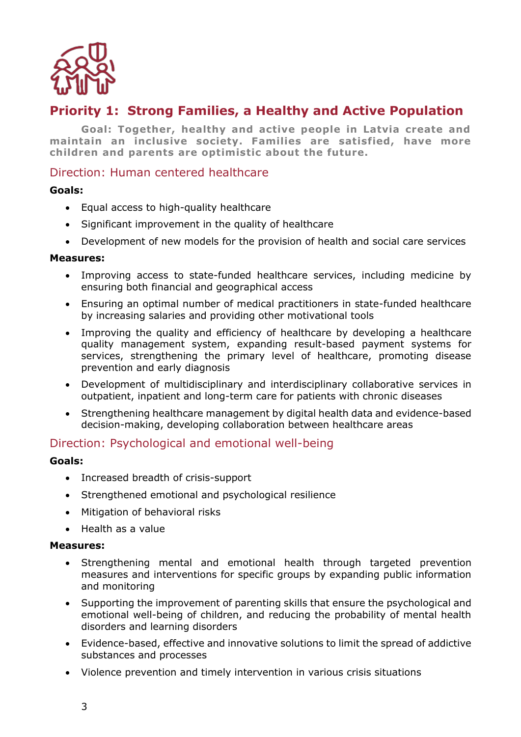

# **Priority 1: Strong Families, a Healthy and Active Population**

**Goal: Together, healthy and active people in Latvia create and maintain an inclusive society. Families are satisfied, have more children and parents are optimistic about the future.**

## Direction: Human centered healthcare

### **Goals:**

- Equal access to high-quality healthcare
- Significant improvement in the quality of healthcare
- Development of new models for the provision of health and social care services

#### **Measures:**

- Improving access to state-funded healthcare services, including medicine by ensuring both financial and geographical access
- Ensuring an optimal number of medical practitioners in state-funded healthcare by increasing salaries and providing other motivational tools
- Improving the quality and efficiency of healthcare by developing a healthcare quality management system, expanding result-based payment systems for services, strengthening the primary level of healthcare, promoting disease prevention and early diagnosis
- Development of multidisciplinary and interdisciplinary collaborative services in outpatient, inpatient and long-term care for patients with chronic diseases
- Strengthening healthcare management by digital health data and evidence-based decision-making, developing collaboration between healthcare areas

## Direction: Psychological and emotional well-being

#### **Goals:**

- Increased breadth of crisis-support
- Strengthened emotional and psychological resilience
- Mitigation of behavioral risks
- Health as a value

- Strengthening mental and emotional health through targeted prevention measures and interventions for specific groups by expanding public information and monitoring
- Supporting the improvement of parenting skills that ensure the psychological and emotional well-being of children, and reducing the probability of mental health disorders and learning disorders
- Evidence-based, effective and innovative solutions to limit the spread of addictive substances and processes
- Violence prevention and timely intervention in various crisis situations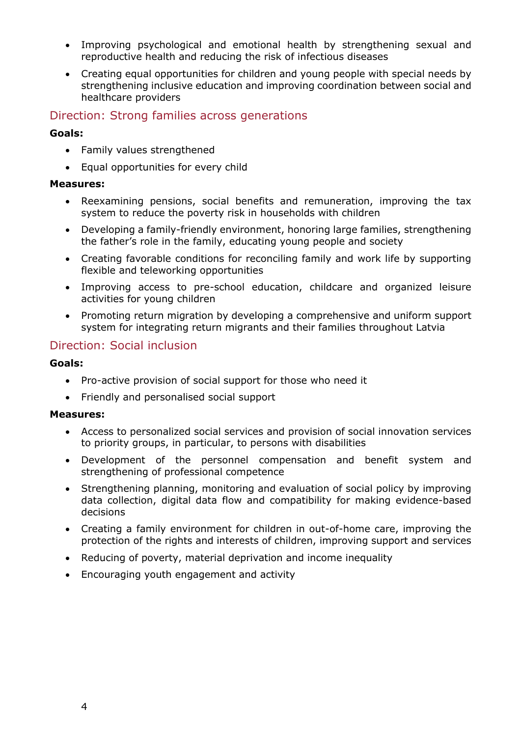- Improving psychological and emotional health by strengthening sexual and reproductive health and reducing the risk of infectious diseases
- Creating equal opportunities for children and young people with special needs by strengthening inclusive education and improving coordination between social and healthcare providers

## Direction: Strong families across generations

## **Goals:**

- Family values strengthened
- Equal opportunities for every child

### **Measures:**

- Reexamining pensions, social benefits and remuneration, improving the tax system to reduce the poverty risk in households with children
- Developing a family-friendly environment, honoring large families, strengthening the father's role in the family, educating young people and society
- Creating favorable conditions for reconciling family and work life by supporting flexible and teleworking opportunities
- Improving access to pre-school education, childcare and organized leisure activities for young children
- Promoting return migration by developing a comprehensive and uniform support system for integrating return migrants and their families throughout Latvia

# Direction: Social inclusion

### **Goals:**

- Pro-active provision of social support for those who need it
- Friendly and personalised social support

- Access to personalized social services and provision of social innovation services to priority groups, in particular, to persons with disabilities
- Development of the personnel compensation and benefit system and strengthening of professional competence
- Strengthening planning, monitoring and evaluation of social policy by improving data collection, digital data flow and compatibility for making evidence-based decisions
- Creating a family environment for children in out-of-home care, improving the protection of the rights and interests of children, improving support and services
- Reducing of poverty, material deprivation and income inequality
- Encouraging youth engagement and activity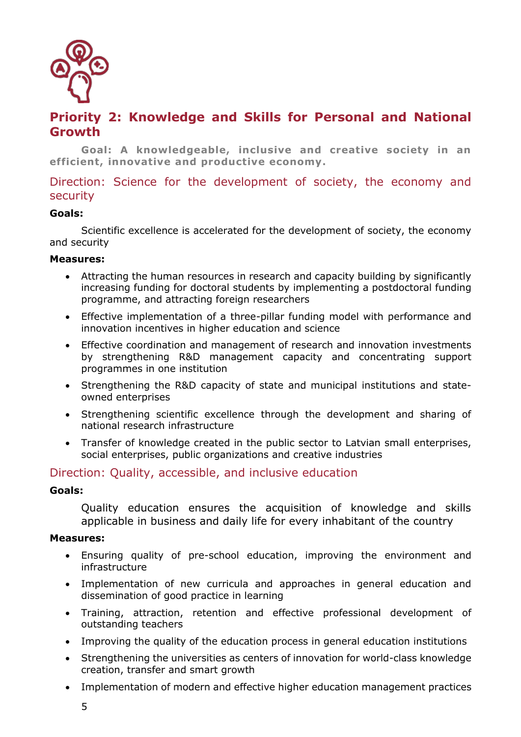

# **Priority 2: Knowledge and Skills for Personal and National Growth**

**Goal: A knowledgeable, inclusive and creative society in an efficient, innovative and productive economy.**

## Direction: Science for the development of society, the economy and security

### **Goals:**

Scientific excellence is accelerated for the development of society, the economy and security

#### **Measures:**

- Attracting the human resources in research and capacity building by significantly increasing funding for doctoral students by implementing a postdoctoral funding programme, and attracting foreign researchers
- Effective implementation of a three-pillar funding model with performance and innovation incentives in higher education and science
- Effective coordination and management of research and innovation investments by strengthening R&D management capacity and concentrating support programmes in one institution
- Strengthening the R&D capacity of state and municipal institutions and stateowned enterprises
- Strengthening scientific excellence through the development and sharing of national research infrastructure
- Transfer of knowledge created in the public sector to Latvian small enterprises, social enterprises, public organizations and creative industries

## Direction: Quality, accessible, and inclusive education

## **Goals:**

Quality education ensures the acquisition of knowledge and skills applicable in business and daily life for every inhabitant of the country

- Ensuring quality of pre-school education, improving the environment and infrastructure
- Implementation of new curricula and approaches in general education and dissemination of good practice in learning
- Training, attraction, retention and effective professional development of outstanding teachers
- Improving the quality of the education process in general education institutions
- Strengthening the universities as centers of innovation for world-class knowledge creation, transfer and smart growth
- Implementation of modern and effective higher education management practices
	- 5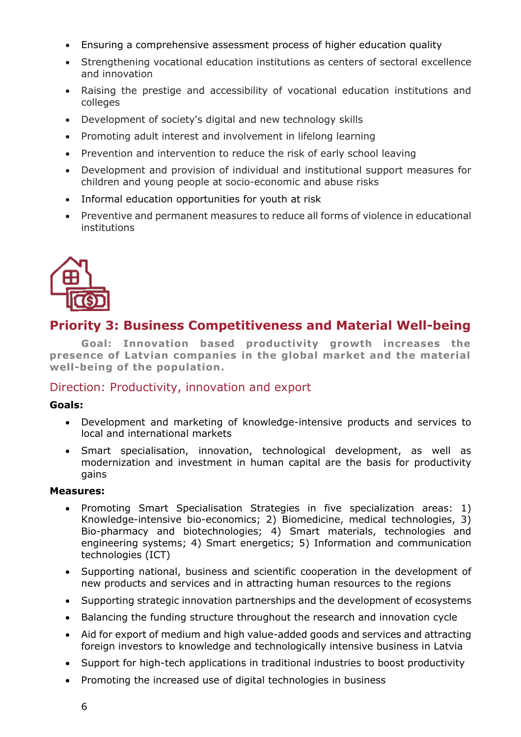- Ensuring a comprehensive assessment process of higher education quality
- Strengthening vocational education institutions as centers of sectoral excellence and innovation
- Raising the prestige and accessibility of vocational education institutions and colleges
- Development of society's digital and new technology skills
- Promoting adult interest and involvement in lifelong learning
- Prevention and intervention to reduce the risk of early school leaving
- Development and provision of individual and institutional support measures for children and young people at socio-economic and abuse risks
- Informal education opportunities for youth at risk
- Preventive and permanent measures to reduce all forms of violence in educational institutions



# **Priority 3: Business Competitiveness and Material Well-being**

**Goal: Innovation based productivity growth increases the presence of Latvian companies in the global market and the material well-being of the population.**

# Direction: Productivity, innovation and export

## **Goals:**

- Development and marketing of knowledge-intensive products and services to local and international markets
- Smart specialisation, innovation, technological development, as well as modernization and investment in human capital are the basis for productivity gains

- Promoting Smart Specialisation Strategies in five specialization areas: 1) Knowledge-intensive bio-economics; 2) Biomedicine, medical technologies, 3) Bio-pharmacy and biotechnologies; 4) Smart materials, technologies and engineering systems; 4) Smart energetics; 5) Information and communication technologies (ICT)
- Supporting national, business and scientific cooperation in the development of new products and services and in attracting human resources to the regions
- Supporting strategic innovation partnerships and the development of ecosystems
- Balancing the funding structure throughout the research and innovation cycle
- Aid for export of medium and high value-added goods and services and attracting foreign investors to knowledge and technologically intensive business in Latvia
- Support for high-tech applications in traditional industries to boost productivity
- Promoting the increased use of digital technologies in business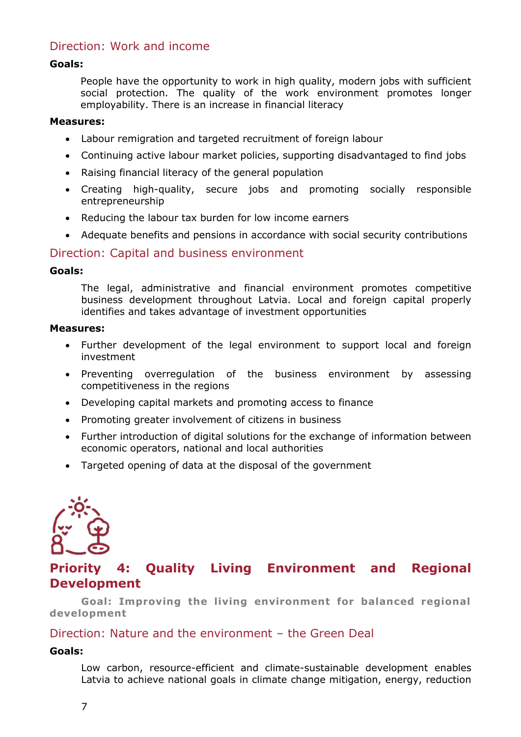# Direction: Work and income

## **Goals:**

People have the opportunity to work in high quality, modern jobs with sufficient social protection. The quality of the work environment promotes longer employability. There is an increase in financial literacy

### **Measures:**

- Labour remigration and targeted recruitment of foreign labour
- Continuing active labour market policies, supporting disadvantaged to find jobs
- Raising financial literacy of the general population
- Creating high-quality, secure jobs and promoting socially responsible entrepreneurship
- Reducing the labour tax burden for low income earners
- Adequate benefits and pensions in accordance with social security contributions

## Direction: Capital and business environment

### **Goals:**

The legal, administrative and financial environment promotes competitive business development throughout Latvia. Local and foreign capital properly identifies and takes advantage of investment opportunities

### **Measures:**

- Further development of the legal environment to support local and foreign investment
- Preventing overregulation of the business environment by assessing competitiveness in the regions
- Developing capital markets and promoting access to finance
- Promoting greater involvement of citizens in business
- Further introduction of digital solutions for the exchange of information between economic operators, national and local authorities
- Targeted opening of data at the disposal of the government



**Priority 4: Quality Living Environment and Regional Development**

**Goal: Improving the living environment for balanced regional development**

## Direction: Nature and the environment – the Green Deal

## **Goals:**

Low carbon, resource-efficient and climate-sustainable development enables Latvia to achieve national goals in climate change mitigation, energy, reduction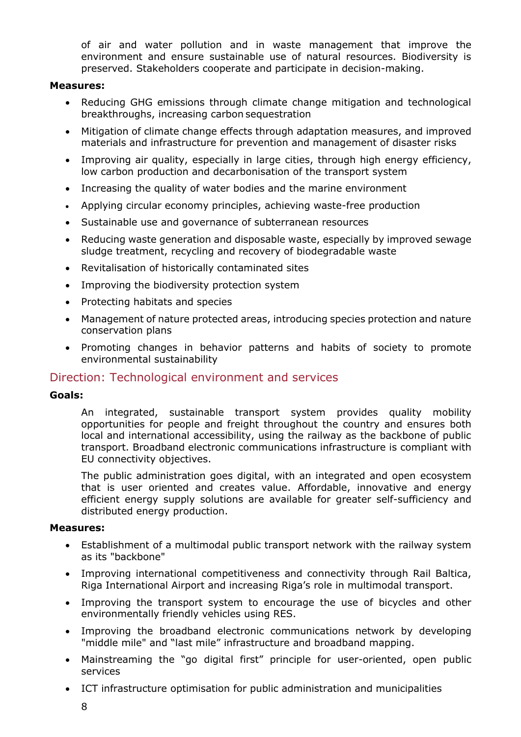of air and water pollution and in waste management that improve the environment and ensure sustainable use of natural resources. Biodiversity is preserved. Stakeholders cooperate and participate in decision-making.

#### **Measures:**

- Reducing GHG emissions through climate change mitigation and technological breakthroughs, increasing carbon sequestration
- Mitigation of climate change effects through adaptation measures, and improved materials and infrastructure for prevention and management of disaster risks
- Improving air quality, especially in large cities, through high energy efficiency, low carbon production and decarbonisation of the transport system
- Increasing the quality of water bodies and the marine environment
- Applying circular economy principles, achieving waste-free production
- Sustainable use and governance of subterranean resources
- Reducing waste generation and disposable waste, especially by improved sewage sludge treatment, recycling and recovery of biodegradable waste
- Revitalisation of historically contaminated sites
- Improving the biodiversity protection system
- Protecting habitats and species
- Management of nature protected areas, introducing species protection and nature conservation plans
- Promoting changes in behavior patterns and habits of society to promote environmental sustainability

## Direction: Technological environment and services

#### **Goals:**

An integrated, sustainable transport system provides quality mobility opportunities for people and freight throughout the country and ensures both local and international accessibility, using the railway as the backbone of public transport. Broadband electronic communications infrastructure is compliant with EU connectivity objectives.

The public administration goes digital, with an integrated and open ecosystem that is user oriented and creates value. Affordable, innovative and energy efficient energy supply solutions are available for greater self-sufficiency and distributed energy production.

- Establishment of a multimodal public transport network with the railway system as its "backbone"
- Improving international competitiveness and connectivity through Rail Baltica, Riga International Airport and increasing Riga's role in multimodal transport.
- Improving the transport system to encourage the use of bicycles and other environmentally friendly vehicles using RES.
- Improving the broadband electronic communications network by developing "middle mile" and "last mile" infrastructure and broadband mapping.
- Mainstreaming the "go digital first" principle for user-oriented, open public services
- ICT infrastructure optimisation for public administration and municipalities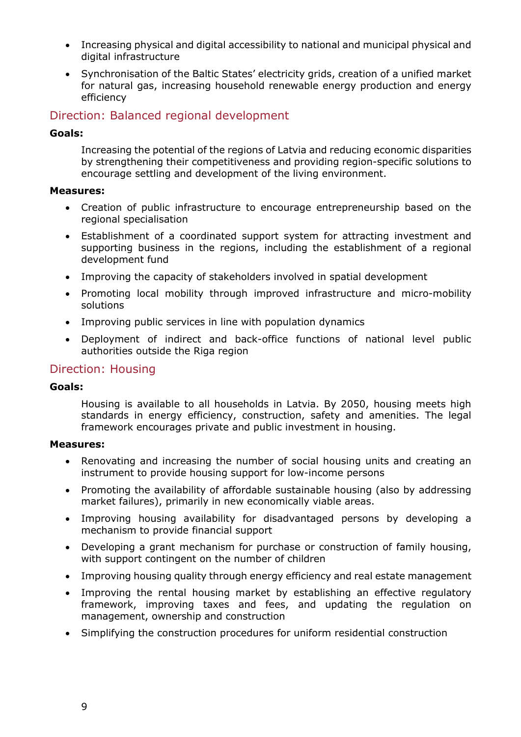- Increasing physical and digital accessibility to national and municipal physical and digital infrastructure
- Synchronisation of the Baltic States' electricity grids, creation of a unified market for natural gas, increasing household renewable energy production and energy efficiency

# Direction: Balanced regional development

## **Goals:**

Increasing the potential of the regions of Latvia and reducing economic disparities by strengthening their competitiveness and providing region-specific solutions to encourage settling and development of the living environment.

## **Measures:**

- Creation of public infrastructure to encourage entrepreneurship based on the regional specialisation
- Establishment of a coordinated support system for attracting investment and supporting business in the regions, including the establishment of a regional development fund
- Improving the capacity of stakeholders involved in spatial development
- Promoting local mobility through improved infrastructure and micro-mobility solutions
- Improving public services in line with population dynamics
- Deployment of indirect and back-office functions of national level public authorities outside the Riga region

## Direction: Housing

## **Goals:**

Housing is available to all households in Latvia. By 2050, housing meets high standards in energy efficiency, construction, safety and amenities. The legal framework encourages private and public investment in housing.

- Renovating and increasing the number of social housing units and creating an instrument to provide housing support for low-income persons
- Promoting the availability of affordable sustainable housing (also by addressing market failures), primarily in new economically viable areas.
- Improving housing availability for disadvantaged persons by developing a mechanism to provide financial support
- Developing a grant mechanism for purchase or construction of family housing, with support contingent on the number of children
- Improving housing quality through energy efficiency and real estate management
- Improving the rental housing market by establishing an effective regulatory framework, improving taxes and fees, and updating the regulation on management, ownership and construction
- Simplifying the construction procedures for uniform residential construction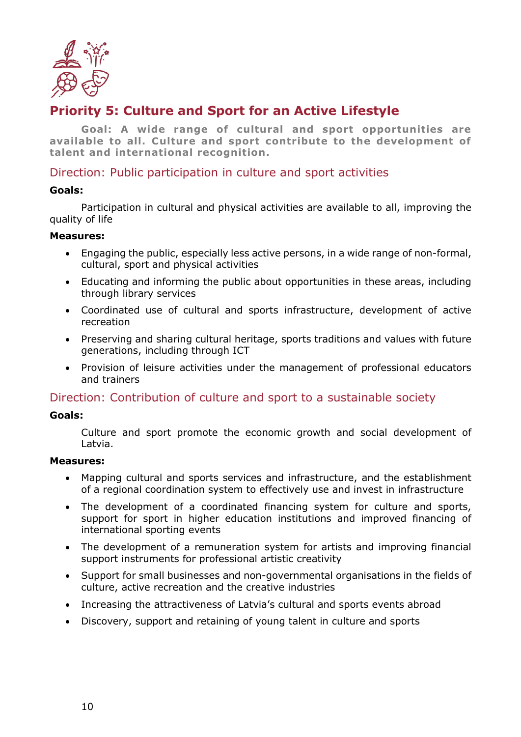

# **Priority 5: Culture and Sport for an Active Lifestyle**

**Goal: A wide range of cultural and sport opportunities are available to all. Culture and sport contribute to the development of talent and international recognition.**

## Direction: Public participation in culture and sport activities

## **Goals:**

Participation in cultural and physical activities are available to all, improving the quality of life

### **Measures:**

- Engaging the public, especially less active persons, in a wide range of non-formal, cultural, sport and physical activities
- Educating and informing the public about opportunities in these areas, including through library services
- Coordinated use of cultural and sports infrastructure, development of active recreation
- Preserving and sharing cultural heritage, sports traditions and values with future generations, including through ICT
- Provision of leisure activities under the management of professional educators and trainers

## Direction: Contribution of culture and sport to a sustainable society

#### **Goals:**

Culture and sport promote the economic growth and social development of Latvia.

- Mapping cultural and sports services and infrastructure, and the establishment of a regional coordination system to effectively use and invest in infrastructure
- The development of a coordinated financing system for culture and sports, support for sport in higher education institutions and improved financing of international sporting events
- The development of a remuneration system for artists and improving financial support instruments for professional artistic creativity
- Support for small businesses and non-governmental organisations in the fields of culture, active recreation and the creative industries
- Increasing the attractiveness of Latvia's cultural and sports events abroad
- Discovery, support and retaining of young talent in culture and sports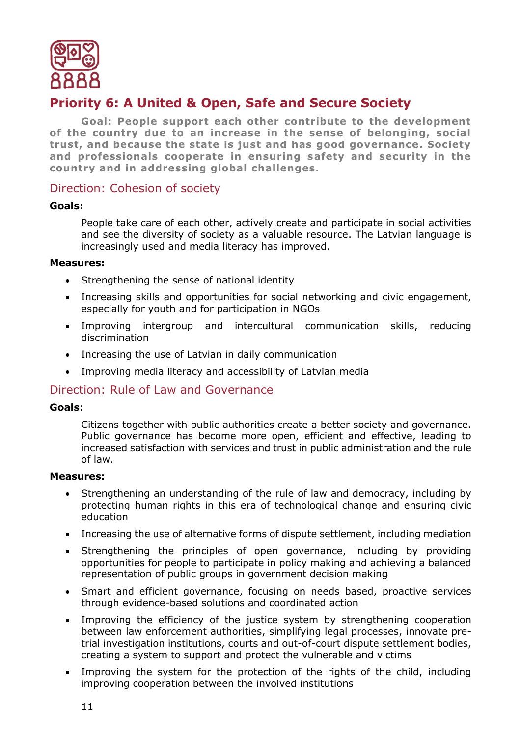

# **Priority 6: A United & Open, Safe and Secure Society**

**Goal: People support each other contribute to the development of the country due to an increase in the sense of belonging, social trust, and because the state is just and has good governance. Society and professionals cooperate in ensuring safety and security in the country and in addressing global challenges.**

## Direction: Cohesion of society

### **Goals:**

People take care of each other, actively create and participate in social activities and see the diversity of society as a valuable resource. The Latvian language is increasingly used and media literacy has improved.

#### **Measures:**

- Strengthening the sense of national identity
- Increasing skills and opportunities for social networking and civic engagement, especially for youth and for participation in NGOs
- Improving intergroup and intercultural communication skills, reducing discrimination
- Increasing the use of Latvian in daily communication
- Improving media literacy and accessibility of Latvian media

## Direction: Rule of Law and Governance

#### **Goals:**

Citizens together with public authorities create a better society and governance. Public governance has become more open, efficient and effective, leading to increased satisfaction with services and trust in public administration and the rule of law.

- Strengthening an understanding of the rule of law and democracy, including by protecting human rights in this era of technological change and ensuring civic education
- Increasing the use of alternative forms of dispute settlement, including mediation
- Strengthening the principles of open governance, including by providing opportunities for people to participate in policy making and achieving a balanced representation of public groups in government decision making
- Smart and efficient governance, focusing on needs based, proactive services through evidence-based solutions and coordinated action
- Improving the efficiency of the justice system by strengthening cooperation between law enforcement authorities, simplifying legal processes, innovate pretrial investigation institutions, courts and out-of-court dispute settlement bodies, creating a system to support and protect the vulnerable and victims
- Improving the system for the protection of the rights of the child, including improving cooperation between the involved institutions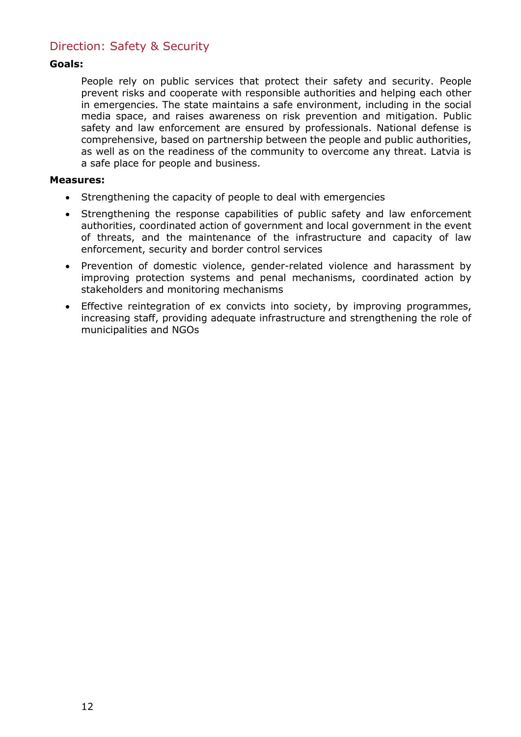# Direction: Safety & Security

### **Goals:**

People rely on public services that protect their safety and security. People prevent risks and cooperate with responsible authorities and helping each other in emergencies. The state maintains a safe environment, including in the social media space, and raises awareness on risk prevention and mitigation. Public safety and law enforcement are ensured by professionals. National defense is comprehensive, based on partnership between the people and public authorities, as well as on the readiness of the community to overcome any threat. Latvia is a safe place for people and business.

- Strengthening the capacity of people to deal with emergencies
- Strengthening the response capabilities of public safety and law enforcement authorities, coordinated action of government and local government in the event of threats, and the maintenance of the infrastructure and capacity of law enforcement, security and border control services
- Prevention of domestic violence, gender-related violence and harassment by improving protection systems and penal mechanisms, coordinated action by stakeholders and monitoring mechanisms
- Effective reintegration of ex convicts into society, by improving programmes, increasing staff, providing adequate infrastructure and strengthening the role of municipalities and NGOs